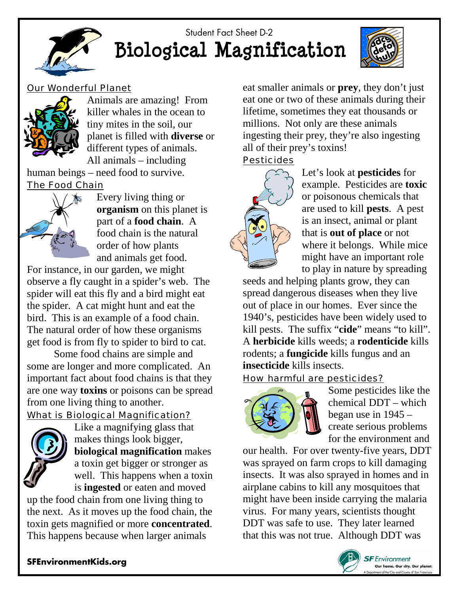

# Student Fact Sheet D-2 **Biological Magnification**



#### Our Wonderful Planet



Animals are amazing! From killer whales in the ocean to tiny mites in the soil, our planet is filled with **diverse** or different types of animals. All animals – including

human beings – need food to survive.

### The Food Chain



Every living thing or **organism** on this planet is part of a **food chain**. A food chain is the natural order of how plants and animals get food.

For instance, in our garden, we might observe a fly caught in a spider's web. The spider will eat this fly and a bird might eat the spider. A cat might hunt and eat the bird. This is an example of a food chain. The natural order of how these organisms get food is from fly to spider to bird to cat.

Some food chains are simple and some are longer and more complicated. An important fact about food chains is that they are one way **toxins** or poisons can be spread from one living thing to another.

# What is Biological Magnification?



Like a magnifying glass that makes things look bigger, **biological magnification** makes a toxin get bigger or stronger as well. This happens when a toxin is **ingested** or eaten and moved

up the food chain from one living thing to the next. As it moves up the food chain, the toxin gets magnified or more **concentrated**. This happens because when larger animals

eat smaller animals or **prey**, they don't just eat one or two of these animals during their lifetime, sometimes they eat thousands or millions. Not only are these animals ingesting their prey, they're also ingesting all of their prey's toxins!

#### Pesticides



Let's look at **pesticides** for example. Pesticides are **toxic** or poisonous chemicals that are used to kill **pests**. A pest is an insect, animal or plant that is **out of place** or not where it belongs. While mice might have an important role to play in nature by spreading

seeds and helping plants grow, they can spread dangerous diseases when they live out of place in our homes. Ever since the 1940's, pesticides have been widely used to kill pests. The suffix "**cide**" means "to kill". A **herbicide** kills weeds; a **rodenticide** kills rodents; a **fungicide** kills fungus and an **insecticide** kills insects.

# How harmful are pesticides?



Some pesticides like the chemical DDT – which began use in  $1945$ create serious problems for the environment and

our health. For over twenty-five years, DDT was sprayed on farm crops to kill damaging insects. It was also sprayed in homes and in airplane cabins to kill any mosquitoes that might have been inside carrying the malaria virus. For many years, scientists thought DDT was safe to use. They later learned that this was not true. Although DDT was



#### **SFEnvironmentKids.org**